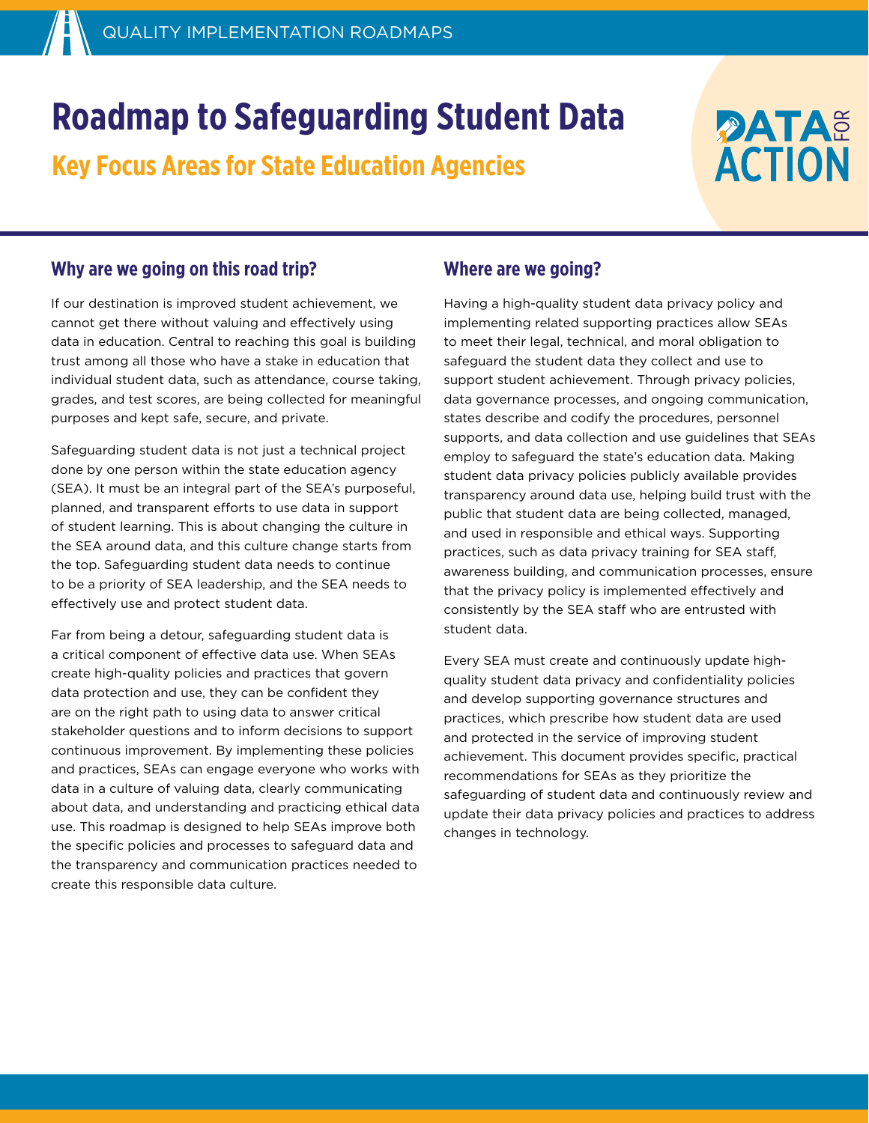# **Roadmap to Safeguarding Student Data**

**Key Focus Areas for State Education Agencies** 

## **DATAE ACTION**

## **Why are we going on this road trip?**

If our destination is improved student achievement, we cannot get there without valuing and effectively using data in education. Central to reaching this goal is building trust among all those who have a stake in education that individual student data, such as attendance, course taking, grades, and test scores, are being collected for meaningful purposes and kept safe, secure, and private.

Safeguarding student data is not just a technical project done by one person within the state education agency (SEA). It must be an integral part of the SEA's purposeful, planned, and transparent efforts to use data in support of student learning. This is about changing the culture in the SEA around data, and this culture change starts from the top. Safeguarding student data needs to continue to be a priority of SEA leadership, and the SEA needs to effectively use and protect student data.

Far from being a detour, safeguarding student data is a critical component of effective data use. When SEAs create high-quality policies and practices that govern data protection and use, they can be confident they are on the right path to using data to answer critical stakeholder questions and to inform decisions to support continuous improvement. By implementing these policies and practices, SEAs can engage everyone who works with data in a culture of valuing data, clearly communicating about data, and understanding and practicing ethical data use. This roadmap is designed to help SEAs improve both the specific policies and processes to safeguard data and the transparency and communication practices needed to create this responsible data culture.

## **Where are we going?**

Having a high-quality student data privacy policy and implementing related supporting practices allow SEAs to meet their legal, technical, and moral obligation to safeguard the student data they collect and use to support student achievement. Through privacy policies, data governance processes, and ongoing communication, states describe and codify the procedures, personnel supports, and data collection and use guidelines that SEAs employ to safeguard the state's education data. Making student data privacy policies publicly available provides transparency around data use, helping build trust with the public that student data are being collected, managed, and used in responsible and ethical ways. Supporting practices, such as data privacy training for SEA staff, awareness building, and communication processes, ensure that the privacy policy is implemented effectively and consistently by the SEA staff who are entrusted with student data.

Every SEA must create and continuously update highquality student data privacy and confidentiality policies and develop supporting governance structures and practices, which prescribe how student data are used and protected in the service of improving student achievement. This document provides specific, practical recommendations for SEAs as they prioritize the safeguarding of student data and continuously review and update their data privacy policies and practices to address changes in technology.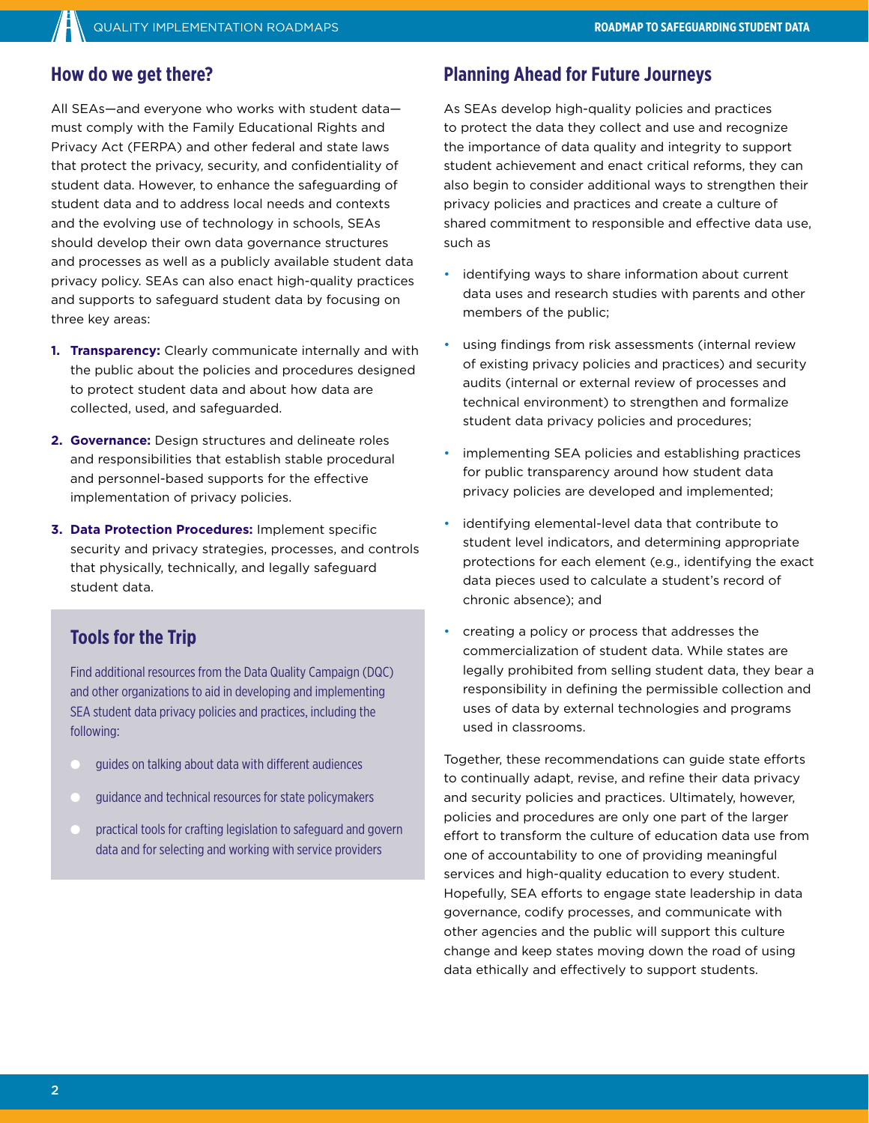## **How do we get there?**

All SEAs—and everyone who works with student data must comply with the Family Educational Rights and Privacy Act (FERPA) and other federal and state laws that protect the privacy, security, and confidentiality of student data. However, to enhance the safeguarding of student data and to address local needs and contexts and the evolving use of technology in schools, SEAs should develop their own data governance structures and processes as well as a publicly available student data privacy policy. SEAs can also enact high-quality practices and supports to safeguard student data by focusing on three key areas:

- **1. Transparency:** Clearly communicate internally and with the public about the policies and procedures designed to protect student data and about how data are collected, used, and safeguarded.
- **2. Governance:** Design structures and delineate roles and responsibilities that establish stable procedural and personnel-based supports for the effective implementation of privacy policies.
- **3. Data Protection Procedures:** Implement specific security and privacy strategies, processes, and controls that physically, technically, and legally safeguard student data.

## **Tools for the Trip**

Find additional resources from the Data Quality Campaign (DQC) and other organizations to aid in developing and implementing SEA student data privacy policies and practices, including the following:

- quides on talking about data with different audiences
- guidance and technical resources for state policymakers
- practical tools for crafting legislation to safeguard and govern data and for selecting and working with service providers

## **Planning Ahead for Future Journeys**

As SEAs develop high-quality policies and practices to protect the data they collect and use and recognize the importance of data quality and integrity to support student achievement and enact critical reforms, they can also begin to consider additional ways to strengthen their privacy policies and practices and create a culture of shared commitment to responsible and effective data use, such as

- identifying ways to share information about current data uses and research studies with parents and other members of the public;
- using findings from risk assessments (internal review of existing privacy policies and practices) and security audits (internal or external review of processes and technical environment) to strengthen and formalize student data privacy policies and procedures;
- implementing SEA policies and establishing practices for public transparency around how student data privacy policies are developed and implemented;
- identifying elemental-level data that contribute to student level indicators, and determining appropriate protections for each element (e.g., identifying the exact data pieces used to calculate a student's record of chronic absence); and
- creating a policy or process that addresses the commercialization of student data. While states are legally prohibited from selling student data, they bear a responsibility in defining the permissible collection and uses of data by external technologies and programs used in classrooms.

Together, these recommendations can guide state efforts to continually adapt, revise, and refine their data privacy and security policies and practices. Ultimately, however, policies and procedures are only one part of the larger effort to transform the culture of education data use from one of accountability to one of providing meaningful services and high-quality education to every student. Hopefully, SEA efforts to engage state leadership in data governance, codify processes, and communicate with other agencies and the public will support this culture change and keep states moving down the road of using data ethically and effectively to support students.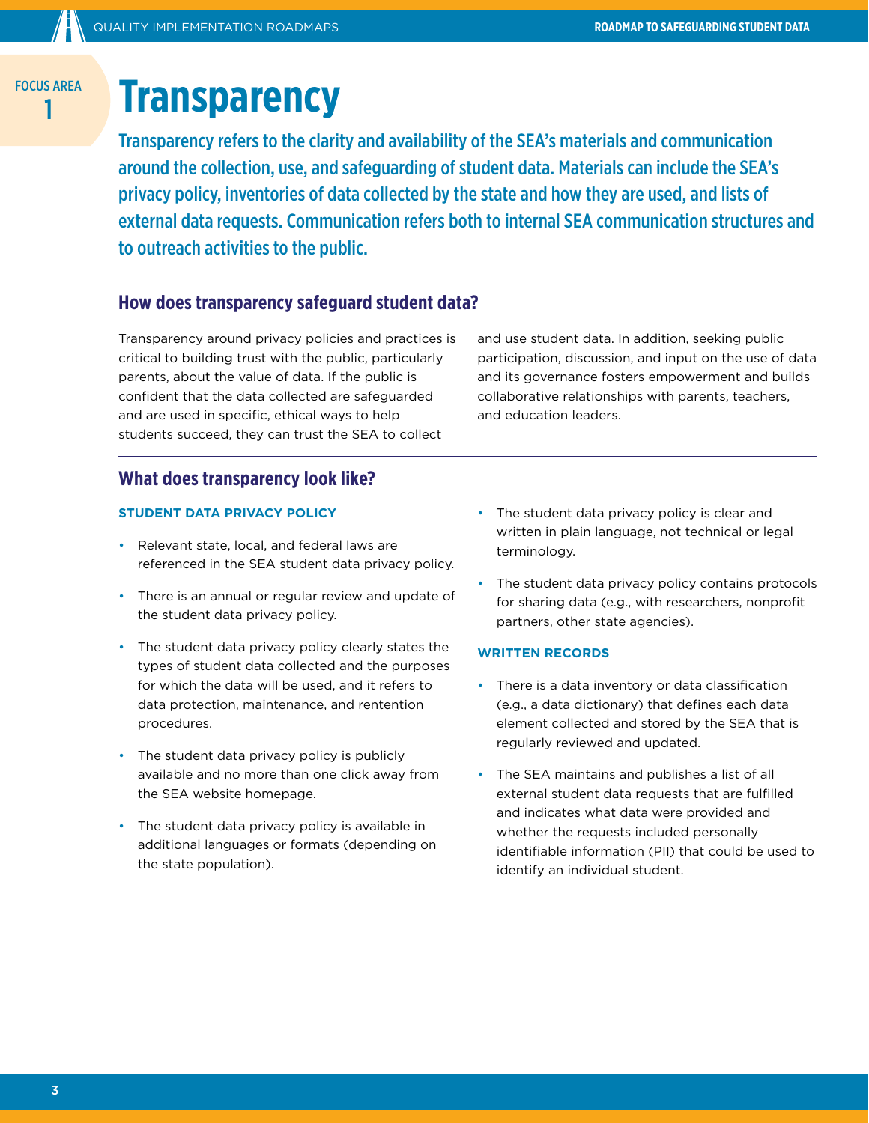## **Transparency**

Transparency refers to the clarity and availability of the SEA's materials and communication around the collection, use, and safeguarding of student data. Materials can include the SEA's privacy policy, inventories of data collected by the state and how they are used, and lists of external data requests. Communication refers both to internal SEA communication structures and to outreach activities to the public.

## **How does transparency safeguard student data?**

Transparency around privacy policies and practices is critical to building trust with the public, particularly parents, about the value of data. If the public is confident that the data collected are safeguarded and are used in specific, ethical ways to help students succeed, they can trust the SEA to collect

and use student data. In addition, seeking public participation, discussion, and input on the use of data and its governance fosters empowerment and builds collaborative relationships with parents, teachers, and education leaders.

### **What does transparency look like?**

#### **STUDENT DATA PRIVACY POLICY**

- Relevant state, local, and federal laws are referenced in the SEA student data privacy policy.
- There is an annual or regular review and update of the student data privacy policy.
- The student data privacy policy clearly states the types of student data collected and the purposes for which the data will be used, and it refers to data protection, maintenance, and rentention procedures.
- The student data privacy policy is publicly available and no more than one click away from the SEA website homepage.
- The student data privacy policy is available in additional languages or formats (depending on the state population).
- The student data privacy policy is clear and written in plain language, not technical or legal terminology.
- The student data privacy policy contains protocols for sharing data (e.g., with researchers, nonprofit partners, other state agencies).

#### **WRITTEN RECORDS**

- There is a data inventory or data classification (e.g., a data dictionary) that defines each data element collected and stored by the SEA that is regularly reviewed and updated.
- The SEA maintains and publishes a list of all external student data requests that are fulfilled and indicates what data were provided and whether the requests included personally identifiable information (PII) that could be used to identify an individual student.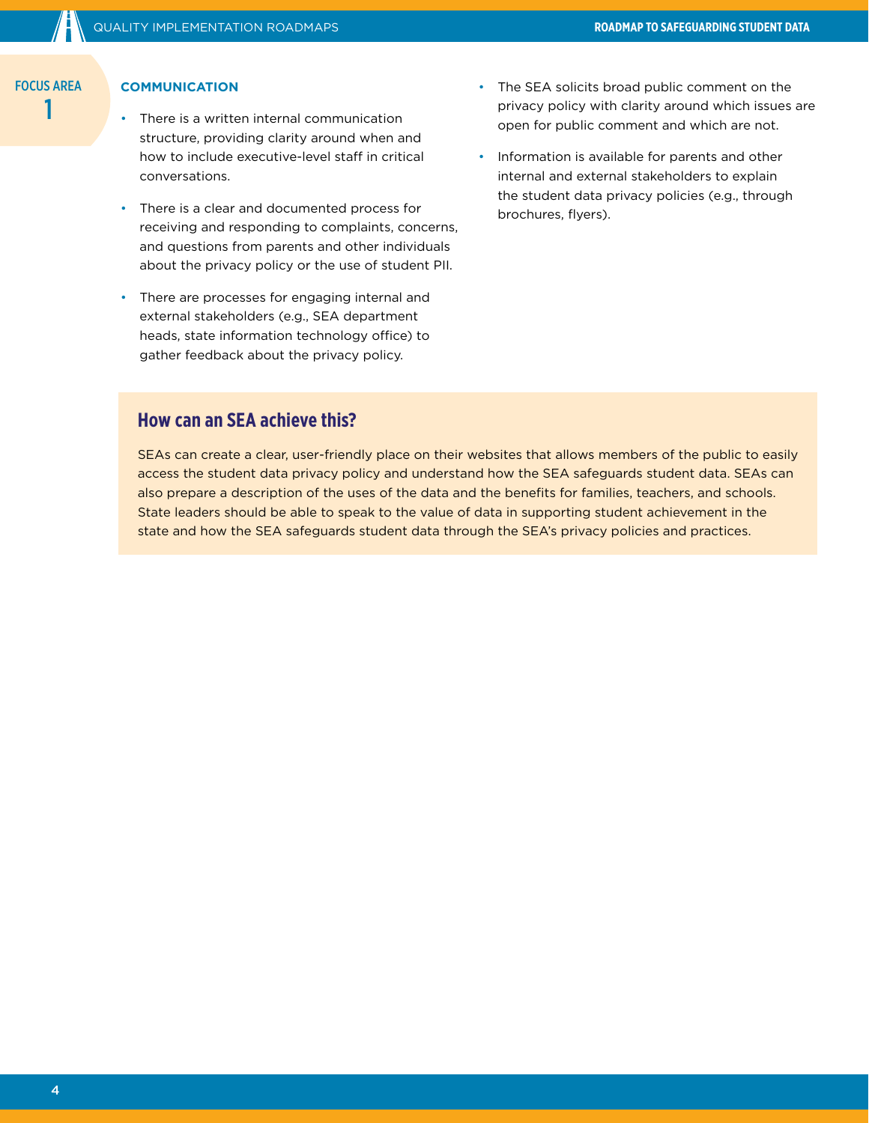#### **COMMUNICATION**

- There is a written internal communication structure, providing clarity around when and how to include executive-level staff in critical conversations.
- There is a clear and documented process for receiving and responding to complaints, concerns, and questions from parents and other individuals about the privacy policy or the use of student PII.
- There are processes for engaging internal and external stakeholders (e.g., SEA department heads, state information technology office) to gather feedback about the privacy policy.
- The SEA solicits broad public comment on the privacy policy with clarity around which issues are open for public comment and which are not.
- Information is available for parents and other internal and external stakeholders to explain the student data privacy policies (e.g., through brochures, flyers).

## **How can an SEA achieve this?**

SEAs can create a clear, user-friendly place on their websites that allows members of the public to easily access the student data privacy policy and understand how the SEA safeguards student data. SEAs can also prepare a description of the uses of the data and the benefits for families, teachers, and schools. State leaders should be able to speak to the value of data in supporting student achievement in the state and how the SEA safeguards student data through the SEA's privacy policies and practices.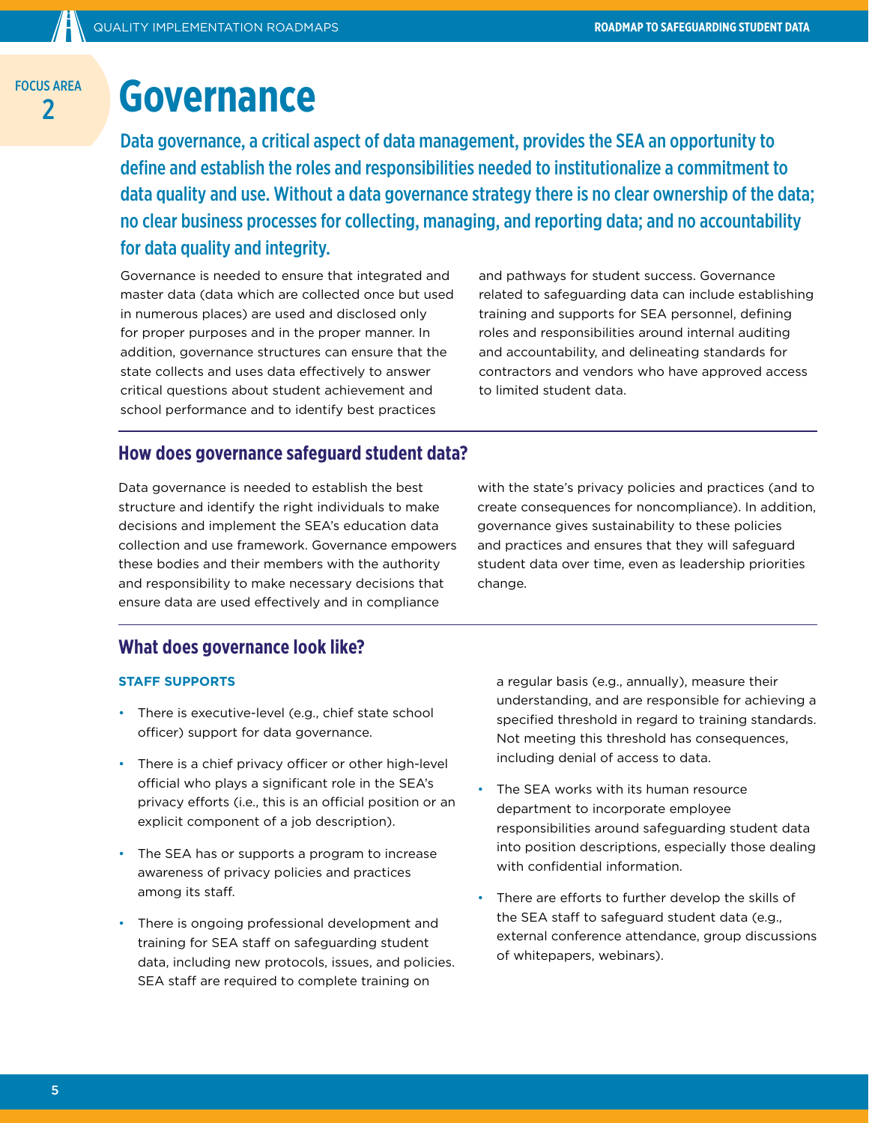## **2 Governance**

Data governance, a critical aspect of data management, provides the SEA an opportunity to define and establish the roles and responsibilities needed to institutionalize a commitment to data quality and use. Without a data governance strategy there is no clear ownership of the data; no clear business processes for collecting, managing, and reporting data; and no accountability for data quality and integrity.

Governance is needed to ensure that integrated and master data (data which are collected once but used in numerous places) are used and disclosed only for proper purposes and in the proper manner. In addition, governance structures can ensure that the state collects and uses data effectively to answer critical questions about student achievement and school performance and to identify best practices

and pathways for student success. Governance related to safeguarding data can include establishing training and supports for SEA personnel, defining roles and responsibilities around internal auditing and accountability, and delineating standards for contractors and vendors who have approved access to limited student data.

### **How does governance safeguard student data?**

Data governance is needed to establish the best structure and identify the right individuals to make decisions and implement the SEA's education data collection and use framework. Governance empowers these bodies and their members with the authority and responsibility to make necessary decisions that ensure data are used effectively and in compliance

with the state's privacy policies and practices (and to create consequences for noncompliance). In addition, governance gives sustainability to these policies and practices and ensures that they will safeguard student data over time, even as leadership priorities change.

## **What does governance look like?**

#### **STAFF SUPPORTS**

- There is executive-level (e.g., chief state school officer) support for data governance.
- There is a chief privacy officer or other high-level official who plays a significant role in the SEA's privacy efforts (i.e., this is an official position or an explicit component of a job description).
- The SEA has or supports a program to increase awareness of privacy policies and practices among its staff.
- There is ongoing professional development and training for SEA staff on safeguarding student data, including new protocols, issues, and policies. SEA staff are required to complete training on

a regular basis (e.g., annually), measure their understanding, and are responsible for achieving a specified threshold in regard to training standards. Not meeting this threshold has consequences, including denial of access to data.

- The SEA works with its human resource department to incorporate employee responsibilities around safeguarding student data into position descriptions, especially those dealing with confidential information.
- There are efforts to further develop the skills of the SEA staff to safeguard student data (e.g., external conference attendance, group discussions of whitepapers, webinars).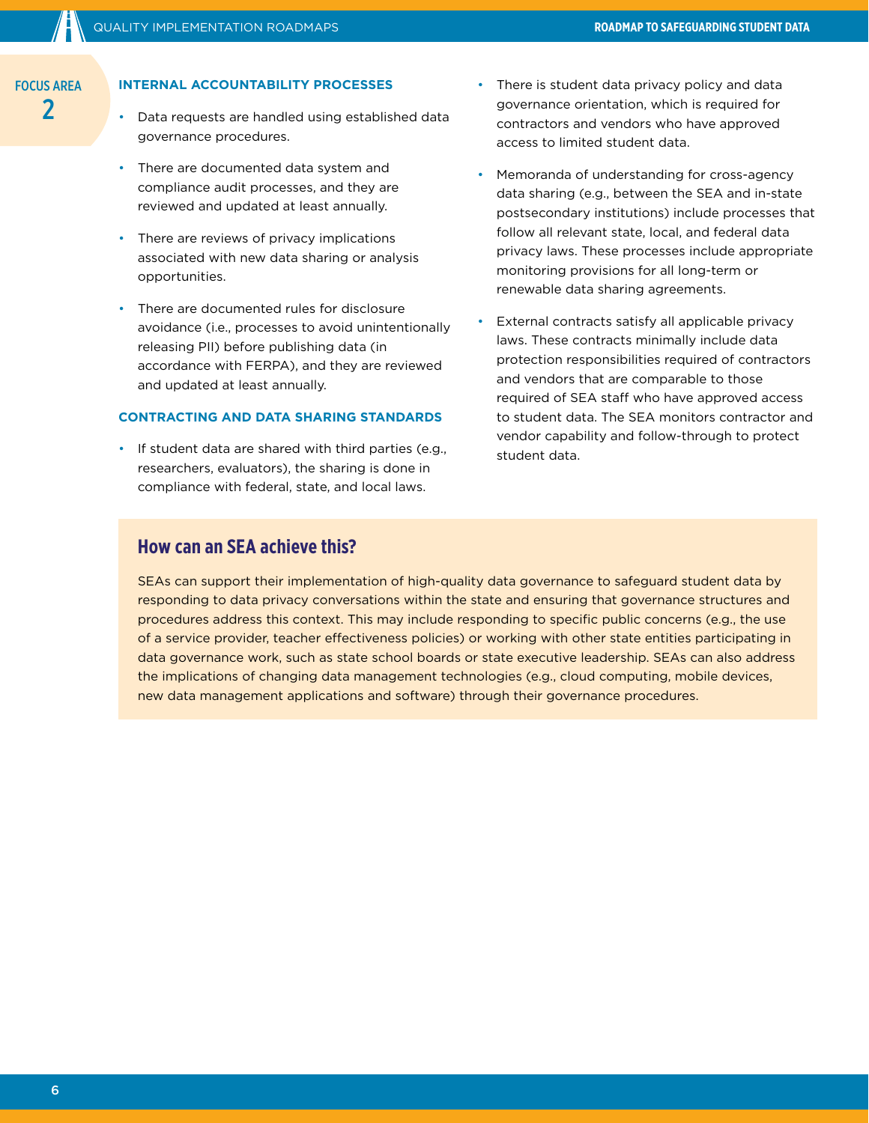#### **INTERNAL ACCOUNTABILITY PROCESSES**

- Data requests are handled using established data governance procedures.
- There are documented data system and compliance audit processes, and they are reviewed and updated at least annually.
- There are reviews of privacy implications associated with new data sharing or analysis opportunities.
- There are documented rules for disclosure avoidance (i.e., processes to avoid unintentionally releasing PII) before publishing data (in accordance with FERPA), and they are reviewed and updated at least annually.

#### **CONTRACTING AND DATA SHARING STANDARDS**

• If student data are shared with third parties (e.g., researchers, evaluators), the sharing is done in compliance with federal, state, and local laws.

- There is student data privacy policy and data governance orientation, which is required for contractors and vendors who have approved access to limited student data.
- Memoranda of understanding for cross-agency data sharing (e.g., between the SEA and in-state postsecondary institutions) include processes that follow all relevant state, local, and federal data privacy laws. These processes include appropriate monitoring provisions for all long-term or renewable data sharing agreements.
- External contracts satisfy all applicable privacy laws. These contracts minimally include data protection responsibilities required of contractors and vendors that are comparable to those required of SEA staff who have approved access to student data. The SEA monitors contractor and vendor capability and follow-through to protect student data.

## **How can an SEA achieve this?**

SEAs can support their implementation of high-quality data governance to safeguard student data by responding to data privacy conversations within the state and ensuring that governance structures and procedures address this context. This may include responding to specific public concerns (e.g., the use of a service provider, teacher effectiveness policies) or working with other state entities participating in data governance work, such as state school boards or state executive leadership. SEAs can also address the implications of changing data management technologies (e.g., cloud computing, mobile devices, new data management applications and software) through their governance procedures.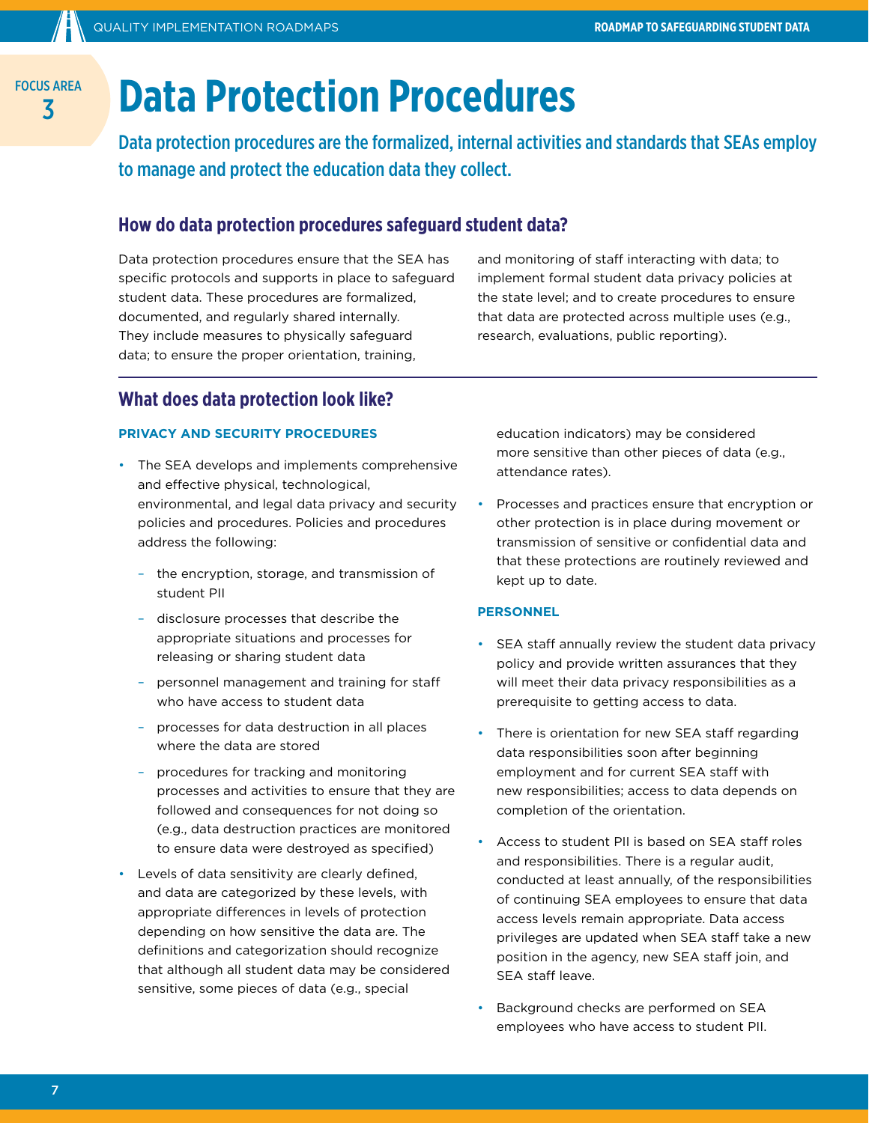## FOCUS AREA **BAREA** Data Protection Procedures

Data protection procedures are the formalized, internal activities and standards that SEAs employ to manage and protect the education data they collect.

## **How do data protection procedures safeguard student data?**

Data protection procedures ensure that the SEA has specific protocols and supports in place to safeguard student data. These procedures are formalized, documented, and regularly shared internally. They include measures to physically safeguard data; to ensure the proper orientation, training,

and monitoring of staff interacting with data; to implement formal student data privacy policies at the state level; and to create procedures to ensure that data are protected across multiple uses (e.g., research, evaluations, public reporting).

## **What does data protection look like?**

#### **PRIVACY AND SECURITY PROCEDURES**

- The SEA develops and implements comprehensive and effective physical, technological, environmental, and legal data privacy and security policies and procedures. Policies and procedures address the following:
	- the encryption, storage, and transmission of student PII
	- disclosure processes that describe the appropriate situations and processes for releasing or sharing student data
	- personnel management and training for staff who have access to student data
	- processes for data destruction in all places where the data are stored
	- procedures for tracking and monitoring processes and activities to ensure that they are followed and consequences for not doing so (e.g., data destruction practices are monitored to ensure data were destroyed as specified)
- Levels of data sensitivity are clearly defined, and data are categorized by these levels, with appropriate differences in levels of protection depending on how sensitive the data are. The definitions and categorization should recognize that although all student data may be considered sensitive, some pieces of data (e.g., special

education indicators) may be considered more sensitive than other pieces of data (e.g., attendance rates).

• Processes and practices ensure that encryption or other protection is in place during movement or transmission of sensitive or confidential data and that these protections are routinely reviewed and kept up to date.

#### **PERSONNEL**

- SEA staff annually review the student data privacy policy and provide written assurances that they will meet their data privacy responsibilities as a prerequisite to getting access to data.
- There is orientation for new SEA staff regarding data responsibilities soon after beginning employment and for current SEA staff with new responsibilities; access to data depends on completion of the orientation.
- Access to student PII is based on SEA staff roles and responsibilities. There is a regular audit, conducted at least annually, of the responsibilities of continuing SEA employees to ensure that data access levels remain appropriate. Data access privileges are updated when SEA staff take a new position in the agency, new SEA staff join, and SEA staff leave.
- Background checks are performed on SEA employees who have access to student PII.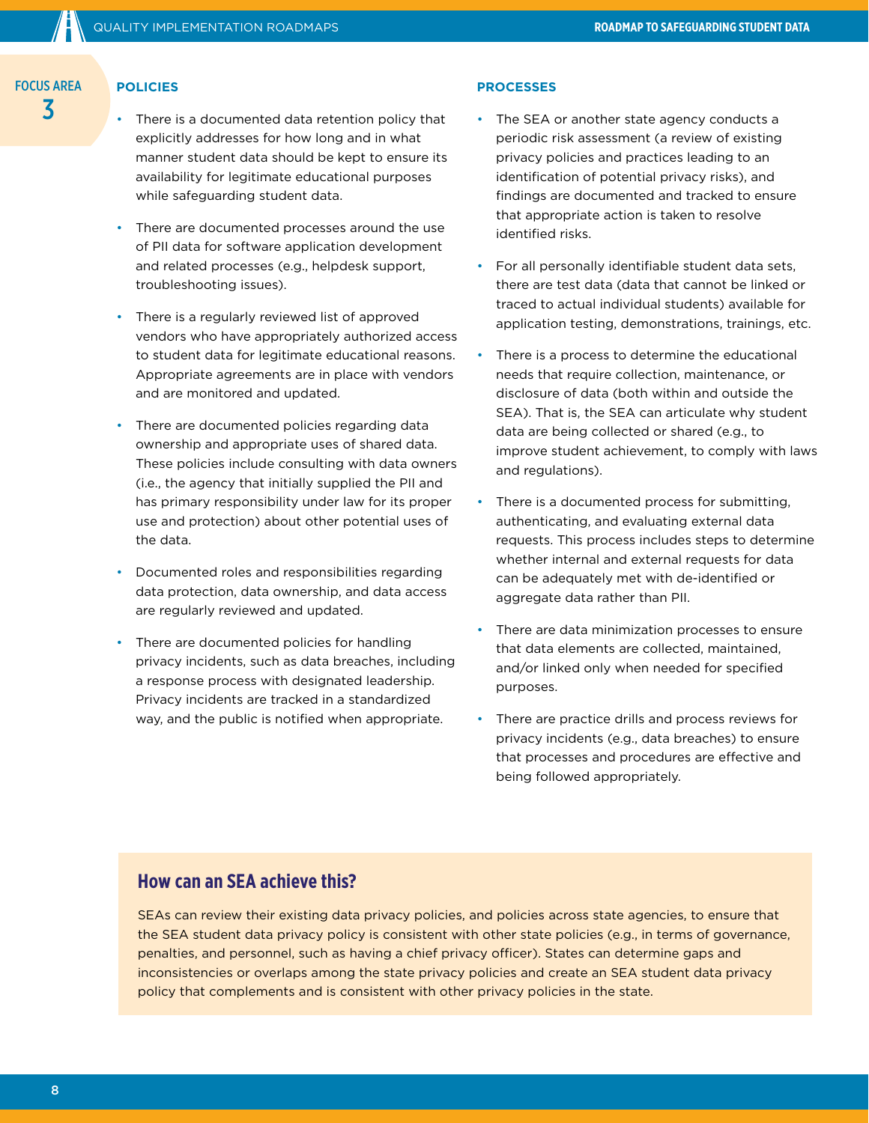### **POLICIES**

- There is a documented data retention policy that explicitly addresses for how long and in what manner student data should be kept to ensure its availability for legitimate educational purposes while safeguarding student data.
- There are documented processes around the use of PII data for software application development and related processes (e.g., helpdesk support, troubleshooting issues).
- There is a regularly reviewed list of approved vendors who have appropriately authorized access to student data for legitimate educational reasons. Appropriate agreements are in place with vendors and are monitored and updated.
- There are documented policies regarding data ownership and appropriate uses of shared data. These policies include consulting with data owners (i.e., the agency that initially supplied the PII and has primary responsibility under law for its proper use and protection) about other potential uses of the data.
- Documented roles and responsibilities regarding data protection, data ownership, and data access are regularly reviewed and updated.
- There are documented policies for handling privacy incidents, such as data breaches, including a response process with designated leadership. Privacy incidents are tracked in a standardized way, and the public is notified when appropriate.

#### **PROCESSES**

- The SEA or another state agency conducts a periodic risk assessment (a review of existing privacy policies and practices leading to an identification of potential privacy risks), and findings are documented and tracked to ensure that appropriate action is taken to resolve identified risks.
- For all personally identifiable student data sets, there are test data (data that cannot be linked or traced to actual individual students) available for application testing, demonstrations, trainings, etc.
- There is a process to determine the educational needs that require collection, maintenance, or disclosure of data (both within and outside the SEA). That is, the SEA can articulate why student data are being collected or shared (e.g., to improve student achievement, to comply with laws and regulations).
- There is a documented process for submitting. authenticating, and evaluating external data requests. This process includes steps to determine whether internal and external requests for data can be adequately met with de-identified or aggregate data rather than PII.
- There are data minimization processes to ensure that data elements are collected, maintained, and/or linked only when needed for specified purposes.
- There are practice drills and process reviews for privacy incidents (e.g., data breaches) to ensure that processes and procedures are effective and being followed appropriately.

## **How can an SEA achieve this?**

SEAs can review their existing data privacy policies, and policies across state agencies, to ensure that the SEA student data privacy policy is consistent with other state policies (e.g., in terms of governance, penalties, and personnel, such as having a chief privacy officer). States can determine gaps and inconsistencies or overlaps among the state privacy policies and create an SEA student data privacy policy that complements and is consistent with other privacy policies in the state.